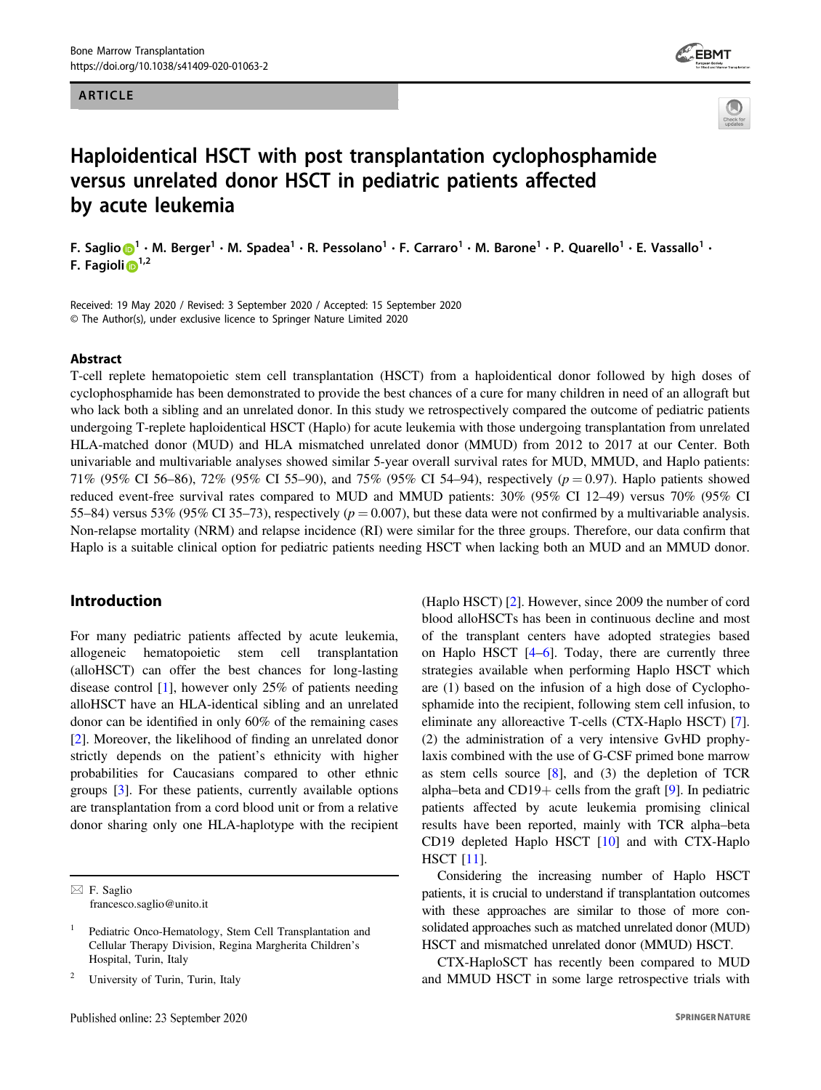## ARTICLE





# Haploidentical HSCT with post transplantation cyclophosphamide versus unrelated donor HSCT in pediatric patients affected by acute leukemia

F. Saglio  $\bigcirc^1\cdot$  $\bigcirc^1\cdot$  $\bigcirc^1\cdot$  M. Berger<sup>1</sup>  $\cdot$  M. Spadea<sup>1</sup>  $\cdot$  R. Pessolano<sup>1</sup>  $\cdot$  F. Carraro<sup>1</sup>  $\cdot$  M. Barone<sup>1</sup>  $\cdot$  P. Quarello<sup>1</sup>  $\cdot$  E. Vassallo<sup>1</sup>  $\cdot$ F. Fag[i](http://orcid.org/0000-0002-9257-900X)oli $\mathbf{D}^{1,2}$  $\mathbf{D}^{1,2}$  $\mathbf{D}^{1,2}$ 

Received: 19 May 2020 / Revised: 3 September 2020 / Accepted: 15 September 2020 © The Author(s), under exclusive licence to Springer Nature Limited 2020

#### Abstract

T-cell replete hematopoietic stem cell transplantation (HSCT) from a haploidentical donor followed by high doses of cyclophosphamide has been demonstrated to provide the best chances of a cure for many children in need of an allograft but who lack both a sibling and an unrelated donor. In this study we retrospectively compared the outcome of pediatric patients undergoing T-replete haploidentical HSCT (Haplo) for acute leukemia with those undergoing transplantation from unrelated HLA-matched donor (MUD) and HLA mismatched unrelated donor (MMUD) from 2012 to 2017 at our Center. Both univariable and multivariable analyses showed similar 5-year overall survival rates for MUD, MMUD, and Haplo patients: 71% (95% CI 56–86), 72% (95% CI 55–90), and 75% (95% CI 54–94), respectively (p = 0.97). Haplo patients showed reduced event-free survival rates compared to MUD and MMUD patients: 30% (95% CI 12–49) versus 70% (95% CI 55–84) versus 53% (95% CI 35–73), respectively ( $p = 0.007$ ), but these data were not confirmed by a multivariable analysis. Non-relapse mortality (NRM) and relapse incidence (RI) were similar for the three groups. Therefore, our data confirm that Haplo is a suitable clinical option for pediatric patients needing HSCT when lacking both an MUD and an MMUD donor.

# Introduction

For many pediatric patients affected by acute leukemia, allogeneic hematopoietic stem cell transplantation (alloHSCT) can offer the best chances for long-lasting disease control [[1\]](#page-8-0), however only 25% of patients needing alloHSCT have an HLA-identical sibling and an unrelated donor can be identified in only 60% of the remaining cases [\[2](#page-8-0)]. Moreover, the likelihood of finding an unrelated donor strictly depends on the patient's ethnicity with higher probabilities for Caucasians compared to other ethnic groups [\[3](#page-8-0)]. For these patients, currently available options are transplantation from a cord blood unit or from a relative donor sharing only one HLA-haplotype with the recipient

 $\boxtimes$  F. Saglio [francesco.saglio@unito.it](mailto:francesco.saglio@unito.it)

<sup>2</sup> University of Turin, Turin, Italy

(Haplo HSCT) [\[2](#page-8-0)]. However, since 2009 the number of cord blood alloHSCTs has been in continuous decline and most of the transplant centers have adopted strategies based on Haplo HSCT [[4](#page-8-0)–[6\]](#page-8-0). Today, there are currently three strategies available when performing Haplo HSCT which are (1) based on the infusion of a high dose of Cyclophosphamide into the recipient, following stem cell infusion, to eliminate any alloreactive T-cells (CTX-Haplo HSCT) [[7\]](#page-8-0). (2) the administration of a very intensive GvHD prophylaxis combined with the use of G-CSF primed bone marrow as stem cells source [[8\]](#page-8-0), and (3) the depletion of TCR alpha–beta and CD19+ cells from the graft  $[9]$  $[9]$ . In pediatric patients affected by acute leukemia promising clinical results have been reported, mainly with TCR alpha–beta CD19 depleted Haplo HSCT [[10\]](#page-8-0) and with CTX-Haplo HSCT [\[11](#page-8-0)].

Considering the increasing number of Haplo HSCT patients, it is crucial to understand if transplantation outcomes with these approaches are similar to those of more consolidated approaches such as matched unrelated donor (MUD) HSCT and mismatched unrelated donor (MMUD) HSCT.

CTX-HaploSCT has recently been compared to MUD and MMUD HSCT in some large retrospective trials with

<sup>1</sup> Pediatric Onco-Hematology, Stem Cell Transplantation and Cellular Therapy Division, Regina Margherita Children's Hospital, Turin, Italy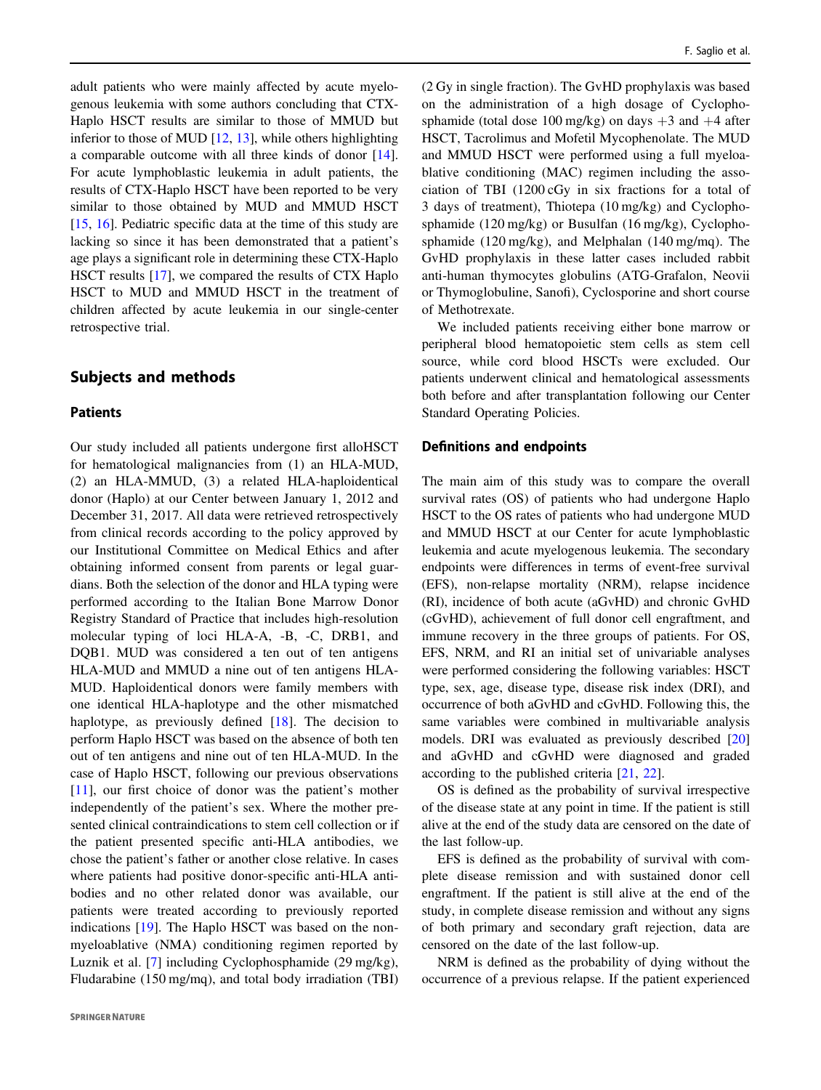adult patients who were mainly affected by acute myelogenous leukemia with some authors concluding that CTX-Haplo HSCT results are similar to those of MMUD but inferior to those of MUD [\[12](#page-8-0), [13](#page-8-0)], while others highlighting a comparable outcome with all three kinds of donor [\[14](#page-8-0)]. For acute lymphoblastic leukemia in adult patients, the results of CTX-Haplo HSCT have been reported to be very similar to those obtained by MUD and MMUD HSCT [\[15](#page-8-0), [16\]](#page-8-0). Pediatric specific data at the time of this study are lacking so since it has been demonstrated that a patient's age plays a significant role in determining these CTX-Haplo HSCT results [\[17](#page-8-0)], we compared the results of CTX Haplo HSCT to MUD and MMUD HSCT in the treatment of children affected by acute leukemia in our single-center retrospective trial.

# Subjects and methods

## Patients

Our study included all patients undergone first alloHSCT for hematological malignancies from (1) an HLA-MUD, (2) an HLA-MMUD, (3) a related HLA-haploidentical donor (Haplo) at our Center between January 1, 2012 and December 31, 2017. All data were retrieved retrospectively from clinical records according to the policy approved by our Institutional Committee on Medical Ethics and after obtaining informed consent from parents or legal guardians. Both the selection of the donor and HLA typing were performed according to the Italian Bone Marrow Donor Registry Standard of Practice that includes high-resolution molecular typing of loci HLA-A, -B, -C, DRB1, and DQB1. MUD was considered a ten out of ten antigens HLA-MUD and MMUD a nine out of ten antigens HLA-MUD. Haploidentical donors were family members with one identical HLA-haplotype and the other mismatched haplotype, as previously defined [\[18](#page-8-0)]. The decision to perform Haplo HSCT was based on the absence of both ten out of ten antigens and nine out of ten HLA-MUD. In the case of Haplo HSCT, following our previous observations [\[11](#page-8-0)], our first choice of donor was the patient's mother independently of the patient's sex. Where the mother presented clinical contraindications to stem cell collection or if the patient presented specific anti-HLA antibodies, we chose the patient's father or another close relative. In cases where patients had positive donor-specific anti-HLA antibodies and no other related donor was available, our patients were treated according to previously reported indications [[19\]](#page-8-0). The Haplo HSCT was based on the nonmyeloablative (NMA) conditioning regimen reported by Luznik et al. [\[7](#page-8-0)] including Cyclophosphamide (29 mg/kg), Fludarabine (150 mg/mq), and total body irradiation (TBI)

(2 Gy in single fraction). The GvHD prophylaxis was based on the administration of a high dosage of Cyclophosphamide (total dose 100 mg/kg) on days  $+3$  and  $+4$  after HSCT, Tacrolimus and Mofetil Mycophenolate. The MUD and MMUD HSCT were performed using a full myeloablative conditioning (MAC) regimen including the association of TBI (1200 cGy in six fractions for a total of 3 days of treatment), Thiotepa (10 mg/kg) and Cyclophosphamide (120 mg/kg) or Busulfan (16 mg/kg), Cyclophosphamide (120 mg/kg), and Melphalan (140 mg/mq). The GvHD prophylaxis in these latter cases included rabbit anti-human thymocytes globulins (ATG-Grafalon, Neovii or Thymoglobuline, Sanofi), Cyclosporine and short course of Methotrexate.

We included patients receiving either bone marrow or peripheral blood hematopoietic stem cells as stem cell source, while cord blood HSCTs were excluded. Our patients underwent clinical and hematological assessments both before and after transplantation following our Center Standard Operating Policies.

#### Definitions and endpoints

The main aim of this study was to compare the overall survival rates (OS) of patients who had undergone Haplo HSCT to the OS rates of patients who had undergone MUD and MMUD HSCT at our Center for acute lymphoblastic leukemia and acute myelogenous leukemia. The secondary endpoints were differences in terms of event-free survival (EFS), non-relapse mortality (NRM), relapse incidence (RI), incidence of both acute (aGvHD) and chronic GvHD (cGvHD), achievement of full donor cell engraftment, and immune recovery in the three groups of patients. For OS, EFS, NRM, and RI an initial set of univariable analyses were performed considering the following variables: HSCT type, sex, age, disease type, disease risk index (DRI), and occurrence of both aGvHD and cGvHD. Following this, the same variables were combined in multivariable analysis models. DRI was evaluated as previously described [\[20](#page-8-0)] and aGvHD and cGvHD were diagnosed and graded according to the published criteria [[21,](#page-8-0) [22\]](#page-8-0).

OS is defined as the probability of survival irrespective of the disease state at any point in time. If the patient is still alive at the end of the study data are censored on the date of the last follow-up.

EFS is defined as the probability of survival with complete disease remission and with sustained donor cell engraftment. If the patient is still alive at the end of the study, in complete disease remission and without any signs of both primary and secondary graft rejection, data are censored on the date of the last follow-up.

NRM is defined as the probability of dying without the occurrence of a previous relapse. If the patient experienced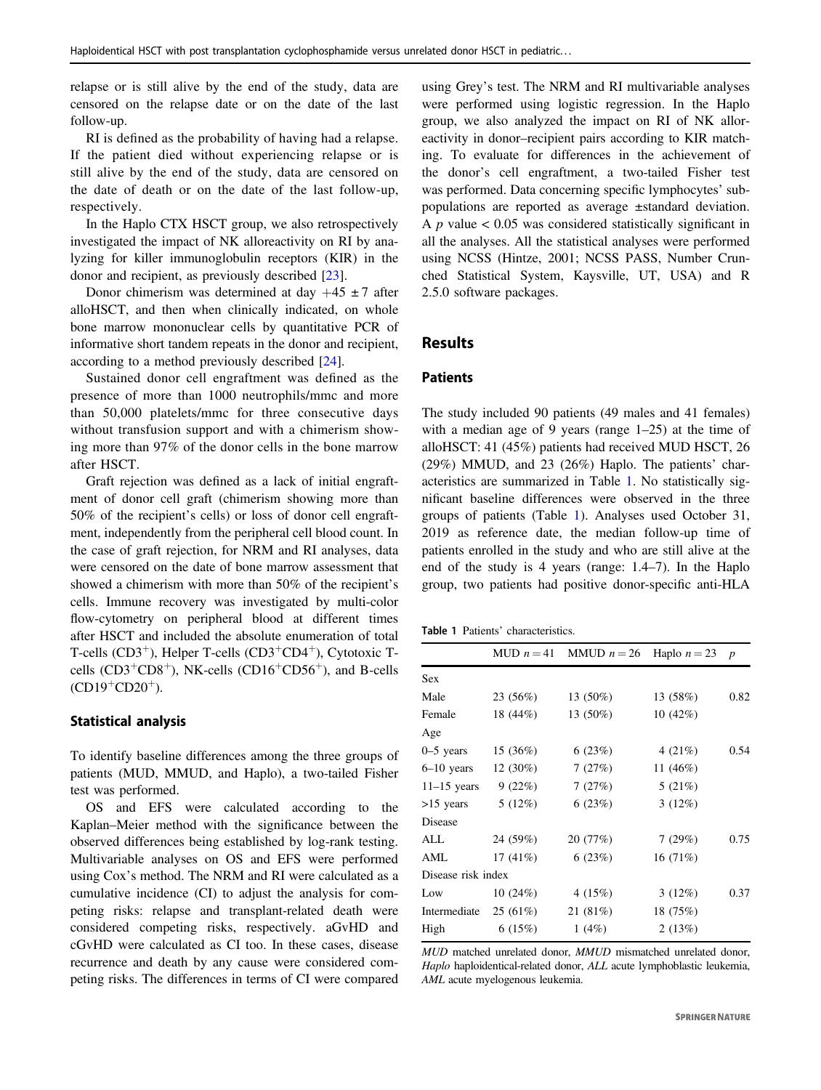relapse or is still alive by the end of the study, data are censored on the relapse date or on the date of the last follow-up.

RI is defined as the probability of having had a relapse. If the patient died without experiencing relapse or is still alive by the end of the study, data are censored on the date of death or on the date of the last follow-up, respectively.

In the Haplo CTX HSCT group, we also retrospectively investigated the impact of NK alloreactivity on RI by analyzing for killer immunoglobulin receptors (KIR) in the donor and recipient, as previously described [\[23](#page-8-0)].

Donor chimerism was determined at day  $+45 \pm 7$  after alloHSCT, and then when clinically indicated, on whole bone marrow mononuclear cells by quantitative PCR of informative short tandem repeats in the donor and recipient, according to a method previously described [[24\]](#page-8-0).

Sustained donor cell engraftment was defined as the presence of more than 1000 neutrophils/mmc and more than 50,000 platelets/mmc for three consecutive days without transfusion support and with a chimerism showing more than 97% of the donor cells in the bone marrow after HSCT.

Graft rejection was defined as a lack of initial engraftment of donor cell graft (chimerism showing more than 50% of the recipient's cells) or loss of donor cell engraftment, independently from the peripheral cell blood count. In the case of graft rejection, for NRM and RI analyses, data were censored on the date of bone marrow assessment that showed a chimerism with more than 50% of the recipient's cells. Immune recovery was investigated by multi-color flow-cytometry on peripheral blood at different times after HSCT and included the absolute enumeration of total T-cells  $(CD3<sup>+</sup>)$ , Helper T-cells  $(CD3<sup>+</sup>CD4<sup>+</sup>)$ , Cytotoxic Tcells  $(CD3+CD8^+)$ , NK-cells  $(CD16+CD56^+)$ , and B-cells  $(CD19+CD20^{+})$ .

## Statistical analysis

To identify baseline differences among the three groups of patients (MUD, MMUD, and Haplo), a two-tailed Fisher test was performed.

OS and EFS were calculated according to the Kaplan–Meier method with the significance between the observed differences being established by log-rank testing. Multivariable analyses on OS and EFS were performed using Cox's method. The NRM and RI were calculated as a cumulative incidence (CI) to adjust the analysis for competing risks: relapse and transplant-related death were considered competing risks, respectively. aGvHD and cGvHD were calculated as CI too. In these cases, disease recurrence and death by any cause were considered competing risks. The differences in terms of CI were compared using Grey's test. The NRM and RI multivariable analyses were performed using logistic regression. In the Haplo group, we also analyzed the impact on RI of NK alloreactivity in donor–recipient pairs according to KIR matching. To evaluate for differences in the achievement of the donor's cell engraftment, a two-tailed Fisher test was performed. Data concerning specific lymphocytes' subpopulations are reported as average ±standard deviation. A  $p$  value  $< 0.05$  was considered statistically significant in all the analyses. All the statistical analyses were performed using NCSS (Hintze, 2001; NCSS PASS, Number Crunched Statistical System, Kaysville, UT, USA) and R 2.5.0 software packages.

# Results

# Patients

The study included 90 patients (49 males and 41 females) with a median age of 9 years (range 1–25) at the time of alloHSCT: 41 (45%) patients had received MUD HSCT, 26 (29%) MMUD, and 23 (26%) Haplo. The patients' characteristics are summarized in Table 1. No statistically significant baseline differences were observed in the three groups of patients (Table 1). Analyses used October 31, 2019 as reference date, the median follow-up time of patients enrolled in the study and who are still alive at the end of the study is 4 years (range: 1.4–7). In the Haplo group, two patients had positive donor-specific anti-HLA

Table 1 Patients' characteristics.

|                    |             | MUD $n = 41$ MMUD $n = 26$ | Haplo $n = 23$ | $\boldsymbol{p}$ |
|--------------------|-------------|----------------------------|----------------|------------------|
| Sex                |             |                            |                |                  |
| Male               | 23(56%)     | 13 $(50\%)$                | 13(58%)        | 0.82             |
| Female             | 18 $(44%)$  | 13 $(50\%)$                | 10(42%)        |                  |
| Age                |             |                            |                |                  |
| $0-5$ years        | 15(36%)     | 6(23%)                     | 4 $(21%)$      | 0.54             |
| $6-10$ years       | $12(30\%)$  | 7(27%)                     | 11 $(46%)$     |                  |
| $11-15$ years      | 9(22%)      | 7(27%)                     | 5(21%)         |                  |
| $>15$ years        | 5(12%)      | 6(23%)                     | 3(12%)         |                  |
| Disease            |             |                            |                |                  |
| ALL                | 24 (59%)    | 20(77%)                    | 7(29%)         | 0.75             |
| AML                | 17 $(41\%)$ | 6(23%)                     | 16(71%)        |                  |
| Disease risk index |             |                            |                |                  |
| Low                | 10(24%)     | 4(15%)                     | 3(12%)         | 0.37             |
| Intermediate       | 25(61%)     | 21(81%)                    | 18 (75%)       |                  |
| High               | 6(15%)      | 1(4%)                      | 2(13%)         |                  |
|                    |             |                            |                |                  |

MUD matched unrelated donor, MMUD mismatched unrelated donor, Haplo haploidentical-related donor, ALL acute lymphoblastic leukemia, AML acute myelogenous leukemia.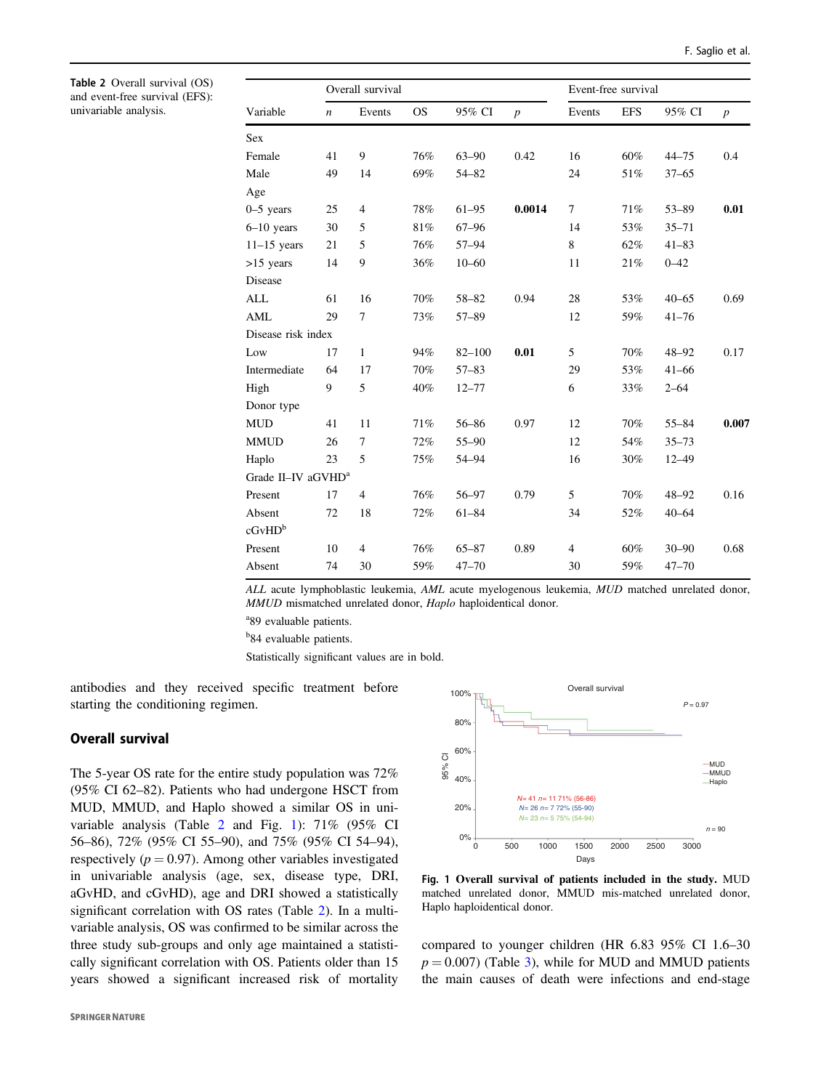*P* = 0.97

*n* = 90

MUD MMUD Haplo

<span id="page-3-0"></span>Table 2 Overall survival (OS) and event-free survival (EFS): univariable analysis.

|                       |                  | Overall survival |           |            |                  |                | Event-free survival |           |                  |
|-----------------------|------------------|------------------|-----------|------------|------------------|----------------|---------------------|-----------|------------------|
| Variable              | $\boldsymbol{n}$ | Events           | <b>OS</b> | 95% CI     | $\boldsymbol{p}$ | Events         | <b>EFS</b>          | 95% CI    | $\boldsymbol{p}$ |
| Sex                   |                  |                  |           |            |                  |                |                     |           |                  |
| Female                | 41               | 9                | 76%       | $63 - 90$  | 0.42             | 16             | 60%                 | $44 - 75$ | 0.4              |
| Male                  | 49               | 14               | 69%       | $54 - 82$  |                  | 24             | 51%                 | $37 - 65$ |                  |
| Age                   |                  |                  |           |            |                  |                |                     |           |                  |
| $0-5$ years           | 25               | $\overline{4}$   | 78%       | $61 - 95$  | 0.0014           | $\overline{7}$ | 71%                 | $53 - 89$ | 0.01             |
| $6-10$ years          | 30               | 5                | 81%       | $67 - 96$  |                  | 14             | 53%                 | $35 - 71$ |                  |
| $11-15$ years         | 21               | 5                | 76%       | $57 - 94$  |                  | 8              | 62%                 | $41 - 83$ |                  |
| $>15$ years           | 14               | 9                | 36%       | $10 - 60$  |                  | 11             | 21%                 | $0 - 42$  |                  |
| Disease               |                  |                  |           |            |                  |                |                     |           |                  |
| $\mbox{ALL}$          | 61               | 16               | 70%       | 58-82      | 0.94             | 28             | 53%                 | $40 - 65$ | 0.69             |
| <b>AML</b>            | 29               | $\tau$           | 73%       | $57 - 89$  |                  | 12             | 59%                 | $41 - 76$ |                  |
| Disease risk index    |                  |                  |           |            |                  |                |                     |           |                  |
| Low                   | 17               | 1                | 94%       | $82 - 100$ | 0.01             | 5              | 70%                 | $48 - 92$ | 0.17             |
| Intermediate          | 64               | 17               | 70%       | $57 - 83$  |                  | 29             | 53%                 | $41 - 66$ |                  |
| High                  | 9                | 5                | 40%       | $12 - 77$  |                  | 6              | 33%                 | $2 - 64$  |                  |
| Donor type            |                  |                  |           |            |                  |                |                     |           |                  |
| <b>MUD</b>            | 41               | 11               | 71%       | $56 - 86$  | 0.97             | 12             | 70%                 | $55 - 84$ | 0.007            |
| <b>MMUD</b>           | 26               | $\tau$           | 72%       | $55 - 90$  |                  | 12             | 54%                 | $35 - 73$ |                  |
| Haplo                 | 23               | 5                | 75%       | 54-94      |                  | 16             | 30%                 | $12 - 49$ |                  |
| Grade II-IV $aGVHD^a$ |                  |                  |           |            |                  |                |                     |           |                  |
| Present               | 17               | $\overline{4}$   | 76%       | 56-97      | 0.79             | 5              | 70%                 | $48 - 92$ | 0.16             |
| Absent                | 72               | 18               | 72%       | $61 - 84$  |                  | 34             | 52%                 | $40 - 64$ |                  |
| $cGvHD^b$             |                  |                  |           |            |                  |                |                     |           |                  |
| Present               | 10               | $\overline{4}$   | 76%       | $65 - 87$  | 0.89             | $\overline{4}$ | 60%                 | $30 - 90$ | 0.68             |
| Absent                | 74               | 30               | 59%       | $47 - 70$  |                  | 30             | 59%                 | $47 - 70$ |                  |

ALL acute lymphoblastic leukemia, AML acute myelogenous leukemia, MUD matched unrelated donor, MMUD mismatched unrelated donor, Haplo haploidentical donor.

80%

60%

<sup>a</sup>89 evaluable patients.

<sup>b</sup>84 evaluable patients.

Statistically significant values are in bold.

antibodies and they received specific treatment before starting the conditioning regimen.

## Overall survival

The 5-year OS rate for the entire study population was 72% (95% CI 62–82). Patients who had undergone HSCT from MUD, MMUD, and Haplo showed a similar OS in univariable analysis (Table 2 and Fig. 1): 71% (95% CI 56–86), 72% (95% CI 55–90), and 75% (95% CI 54–94), respectively ( $p = 0.97$ ). Among other variables investigated in univariable analysis (age, sex, disease type, DRI, aGvHD, and cGvHD), age and DRI showed a statistically significant correlation with OS rates (Table 2). In a multivariable analysis, OS was confirmed to be similar across the three study sub-groups and only age maintained a statistically significant correlation with OS. Patients older than 15 years showed a significant increased risk of mortality



100% Doverall survival

compared to younger children (HR 6.83 95% CI 1.6–30  $p = 0.007$ ) (Table [3\)](#page-4-0), while for MUD and MMUD patients the main causes of death were infections and end-stage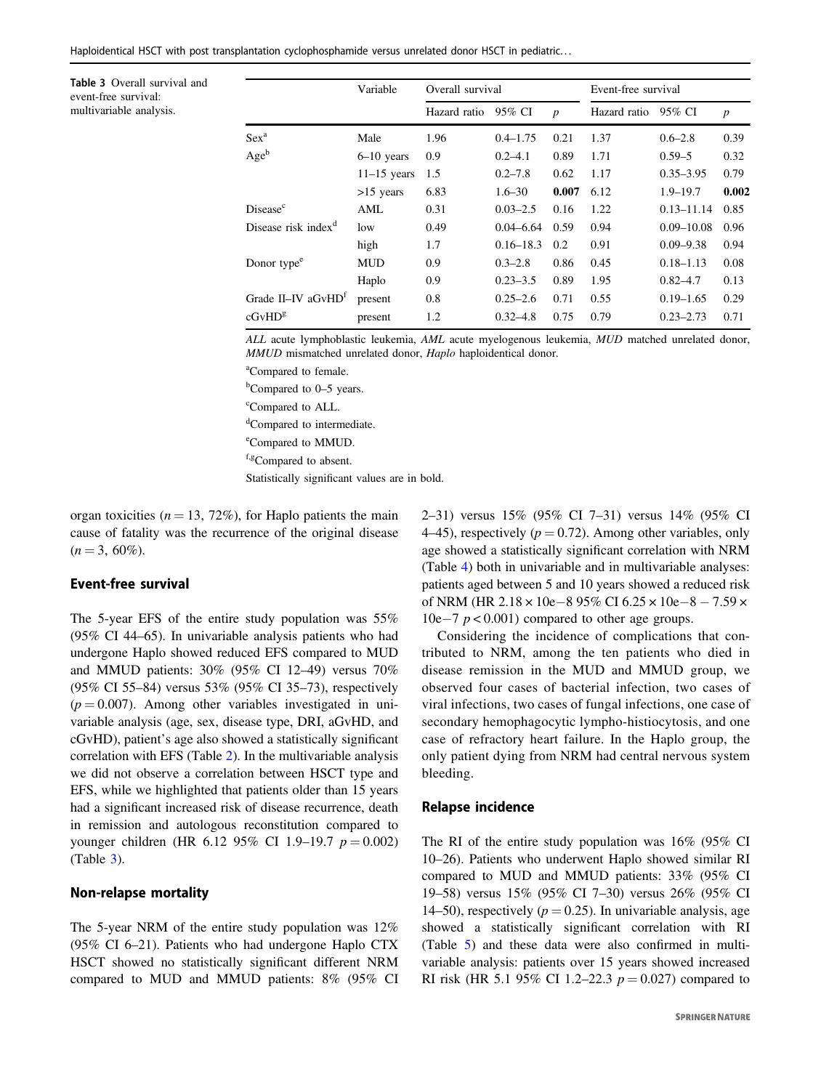<span id="page-4-0"></span>Haploidentical HSCT with post transplantation cyclophosphamide versus unrelated donor HSCT in pediatric. . .

Table 3 Overall survival and event-free survival: multivariable analysis.

|                                 | Variable      | Overall survival |               |                  | Event-free survival |                |                  |
|---------------------------------|---------------|------------------|---------------|------------------|---------------------|----------------|------------------|
|                                 |               | Hazard ratio     | 95% CI        | $\boldsymbol{p}$ | Hazard ratio        | 95% CI         | $\boldsymbol{p}$ |
| $Sex^a$                         | Male          | 1.96             | $0.4 - 1.75$  | 0.21             | 1.37                | $0.6 - 2.8$    | 0.39             |
| Ageb                            | $6-10$ years  | 0.9              | $0.2 - 4.1$   | 0.89             | 1.71                | $0.59 - 5$     | 0.32             |
|                                 | $11-15$ years | 1.5              | $0.2 - 7.8$   | 0.62             | 1.17                | $0.35 - 3.95$  | 0.79             |
|                                 | $>15$ years   | 6.83             | $1.6 - 30$    | 0.007            | 6.12                | $1.9 - 19.7$   | 0.002            |
| Disease <sup>c</sup>            | AML           | 0.31             | $0.03 - 2.5$  | 0.16             | 1.22                | $0.13 - 11.14$ | 0.85             |
| Disease risk index <sup>d</sup> | low           | 0.49             | $0.04 - 6.64$ | 0.59             | 0.94                | $0.09 - 10.08$ | 0.96             |
|                                 | high          | 1.7              | $0.16 - 18.3$ | 0.2              | 0.91                | $0.09 - 9.38$  | 0.94             |
| Donor type <sup>e</sup>         | MUD           | 0.9              | $0.3 - 2.8$   | 0.86             | 0.45                | $0.18 - 1.13$  | 0.08             |
|                                 | Haplo         | 0.9              | $0.23 - 3.5$  | 0.89             | 1.95                | $0.82 - 4.7$   | 0.13             |
| Grade II-IV $aGvHDt$            | present       | 0.8              | $0.25 - 2.6$  | 0.71             | 0.55                | $0.19 - 1.65$  | 0.29             |
| $cGvHD^g$                       | present       | 1.2              | $0.32 - 4.8$  | 0.75             | 0.79                | $0.23 - 2.73$  | 0.71             |

ALL acute lymphoblastic leukemia, AML acute myelogenous leukemia, MUD matched unrelated donor, MMUD mismatched unrelated donor, Haplo haploidentical donor.

<sup>a</sup>Compared to female.

<sup>b</sup>Compared to 0–5 years.

<sup>c</sup>Compared to ALL.

<sup>d</sup>Compared to intermediate.

e Compared to MMUD.

f,gCompared to absent.

Statistically significant values are in bold.

organ toxicities ( $n = 13, 72\%$ ), for Haplo patients the main cause of fatality was the recurrence of the original disease  $(n = 3, 60\%).$ 

## Event-free survival

The 5-year EFS of the entire study population was 55% (95% CI 44–65). In univariable analysis patients who had undergone Haplo showed reduced EFS compared to MUD and MMUD patients: 30% (95% CI 12–49) versus 70% (95% CI 55–84) versus 53% (95% CI 35–73), respectively  $(p = 0.007)$ . Among other variables investigated in univariable analysis (age, sex, disease type, DRI, aGvHD, and cGvHD), patient's age also showed a statistically significant correlation with EFS (Table [2\)](#page-3-0). In the multivariable analysis we did not observe a correlation between HSCT type and EFS, while we highlighted that patients older than 15 years had a significant increased risk of disease recurrence, death in remission and autologous reconstitution compared to younger children (HR 6.12 95% CI 1.9–19.7  $p = 0.002$ ) (Table 3).

# Non-relapse mortality

The 5-year NRM of the entire study population was 12% (95% CI 6–21). Patients who had undergone Haplo CTX HSCT showed no statistically significant different NRM compared to MUD and MMUD patients: 8% (95% CI 2–31) versus 15% (95% CI 7–31) versus 14% (95% CI 4–45), respectively ( $p = 0.72$ ). Among other variables, only age showed a statistically significant correlation with NRM (Table [4\)](#page-5-0) both in univariable and in multivariable analyses: patients aged between 5 and 10 years showed a reduced risk of NRM (HR 2.18 × 10e−8 95% CI 6.25 × 10e−8 − 7.59 × 10e−7  $p$  < 0.001) compared to other age groups.

Considering the incidence of complications that contributed to NRM, among the ten patients who died in disease remission in the MUD and MMUD group, we observed four cases of bacterial infection, two cases of viral infections, two cases of fungal infections, one case of secondary hemophagocytic lympho-histiocytosis, and one case of refractory heart failure. In the Haplo group, the only patient dying from NRM had central nervous system bleeding.

## Relapse incidence

The RI of the entire study population was 16% (95% CI 10–26). Patients who underwent Haplo showed similar RI compared to MUD and MMUD patients: 33% (95% CI 19–58) versus 15% (95% CI 7–30) versus 26% (95% CI 14–50), respectively ( $p = 0.25$ ). In univariable analysis, age showed a statistically significant correlation with RI (Table [5\)](#page-5-0) and these data were also confirmed in multivariable analysis: patients over 15 years showed increased RI risk (HR 5.1 95% CI 1.2–22.3  $p = 0.027$ ) compared to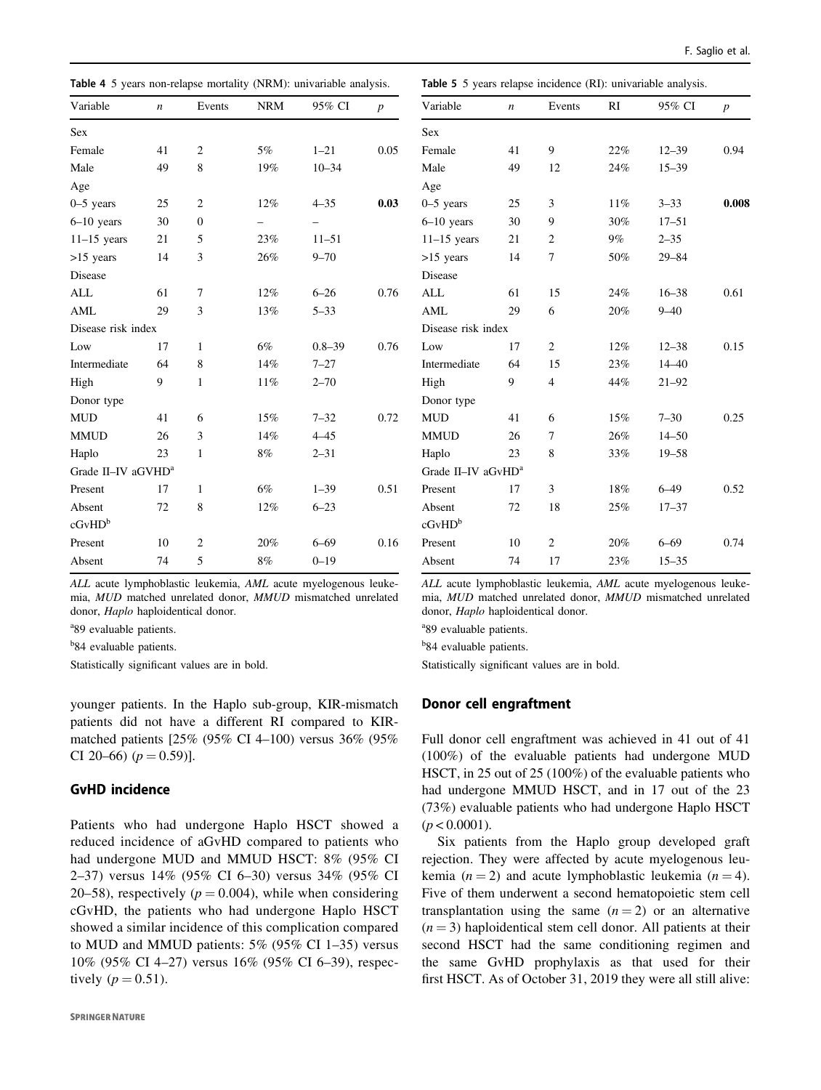<span id="page-5-0"></span>Table 4 5 years non-relapse mortality (NRM): univariable analysis.

Table 5 5 years relapse incidence (RI): univariable analysis.

| Variable                       | n  | Events         | <b>NRM</b> | 95% CI     | $\boldsymbol{p}$ |
|--------------------------------|----|----------------|------------|------------|------------------|
| <b>Sex</b>                     |    |                |            |            |                  |
| Female                         | 41 | $\overline{c}$ | $5\%$      | $1 - 21$   | 0.05             |
| Male                           | 49 | 8              | 19%        | $10 - 34$  |                  |
| Age                            |    |                |            |            |                  |
| $0-5$ years                    | 25 | $\overline{c}$ | 12%        | $4 - 35$   | 0.03             |
| $6-10$ years                   | 30 | $\mathbf{0}$   |            |            |                  |
| $11-15$ years                  | 21 | 5              | 23%        | $11 - 51$  |                  |
| $>15$ years                    | 14 | 3              | 26%        | $9 - 70$   |                  |
| Disease                        |    |                |            |            |                  |
| ALL                            | 61 | 7              | 12%        | $6 - 26$   | 0.76             |
| AML                            | 29 | 3              | 13%        | $5 - 33$   |                  |
| Disease risk index             |    |                |            |            |                  |
| Low                            | 17 | 1              | 6%         | $0.8 - 39$ | 0.76             |
| Intermediate                   | 64 | 8              | 14%        | $7 - 27$   |                  |
| High                           | 9  | 1              | 11%        | $2 - 70$   |                  |
| Donor type                     |    |                |            |            |                  |
| <b>MUD</b>                     | 41 | 6              | 15%        | $7 - 32$   | 0.72             |
| <b>MMUD</b>                    | 26 | 3              | 14%        | $4 - 45$   |                  |
| Haplo                          | 23 | 1              | 8%         | $2 - 31$   |                  |
| Grade II-IV aGVHD <sup>a</sup> |    |                |            |            |                  |
| Present                        | 17 | 1              | 6%         | $1 - 39$   | 0.51             |
| Absent                         | 72 | 8              | 12%        | $6 - 23$   |                  |
| $cGvHD^b$                      |    |                |            |            |                  |
| Present                        | 10 | 2              | 20%        | $6 - 69$   | 0.16             |
| Absent                         | 74 | 5              | 8%         | $0 - 19$   |                  |

ALL acute lymphoblastic leukemia, AML acute myelogenous leukemia, MUD matched unrelated donor, MMUD mismatched unrelated donor, Haplo haploidentical donor.

<sup>a</sup>89 evaluable patients.

<sup>b</sup>84 evaluable patients.

Statistically significant values are in bold.

younger patients. In the Haplo sub-group, KIR-mismatch patients did not have a different RI compared to KIRmatched patients [25% (95% CI 4–100) versus 36% (95% CI 20–66)  $(p = 0.59)$ ].

# GvHD incidence

Patients who had undergone Haplo HSCT showed a reduced incidence of aGvHD compared to patients who had undergone MUD and MMUD HSCT: 8% (95% CI 2–37) versus 14% (95% CI 6–30) versus 34% (95% CI 20–58), respectively ( $p = 0.004$ ), while when considering cGvHD, the patients who had undergone Haplo HSCT showed a similar incidence of this complication compared to MUD and MMUD patients: 5% (95% CI 1–35) versus 10% (95% CI 4–27) versus 16% (95% CI 6–39), respectively  $(p = 0.51)$ .

| able $\sigma$ $\sigma$ fears relative including (ref). all variable analysis. |                  |                |       |           |                  |  |  |
|-------------------------------------------------------------------------------|------------------|----------------|-------|-----------|------------------|--|--|
| Variable                                                                      | $\boldsymbol{n}$ | Events         | RI    | 95% CI    | $\boldsymbol{p}$ |  |  |
| <b>Sex</b>                                                                    |                  |                |       |           |                  |  |  |
| Female                                                                        | 41               | 9              | 22%   | $12 - 39$ | 0.94             |  |  |
| Male                                                                          | 49               | 12             | 24%   | $15 - 39$ |                  |  |  |
| Age                                                                           |                  |                |       |           |                  |  |  |
| $0-5$ years                                                                   | 25               | 3              | 11%   | $3 - 33$  | 0.008            |  |  |
| $6-10$ years                                                                  | 30               | 9              | 30%   | $17 - 51$ |                  |  |  |
| $11-15$ years                                                                 | 21               | $\overline{c}$ | $9\%$ | $2 - 35$  |                  |  |  |
| $>15$ years                                                                   | 14               | 7              | 50%   | $29 - 84$ |                  |  |  |
| Disease                                                                       |                  |                |       |           |                  |  |  |
| $\mbox{ALL}$                                                                  | 61               | 15             | 24%   | $16 - 38$ | 0.61             |  |  |
| AML                                                                           | 29               | 6              | 20%   | $9 - 40$  |                  |  |  |
| Disease risk index                                                            |                  |                |       |           |                  |  |  |
| Low                                                                           | 17               | 2              | 12%   | $12 - 38$ | 0.15             |  |  |
| Intermediate                                                                  | 64               | 15             | 23%   | $14 - 40$ |                  |  |  |
| High                                                                          | 9                | $\overline{4}$ | 44%   | $21 - 92$ |                  |  |  |
| Donor type                                                                    |                  |                |       |           |                  |  |  |
| <b>MUD</b>                                                                    | 41               | 6              | 15%   | $7 - 30$  | 0.25             |  |  |
| <b>MMUD</b>                                                                   | 26               | 7              | 26%   | $14 - 50$ |                  |  |  |
| Haplo                                                                         | 23               | 8              | 33%   | $19 - 58$ |                  |  |  |
| Grade II-IV aGvHD <sup>a</sup>                                                |                  |                |       |           |                  |  |  |
| Present                                                                       | 17               | 3              | 18%   | $6 - 49$  | 0.52             |  |  |
| Absent                                                                        | 72               | 18             | 25%   | $17 - 37$ |                  |  |  |
| $cGvHD^b$                                                                     |                  |                |       |           |                  |  |  |
| Present                                                                       | 10               | $\overline{2}$ | 20%   | $6 - 69$  | 0.74             |  |  |
| Absent                                                                        | 74               | 17             | 23%   | $15 - 35$ |                  |  |  |

ALL acute lymphoblastic leukemia, AML acute myelogenous leukemia, MUD matched unrelated donor, MMUD mismatched unrelated donor, Haplo haploidentical donor.

<sup>a</sup>89 evaluable patients.

<sup>b</sup>84 evaluable patients.

Statistically significant values are in bold.

#### Donor cell engraftment

Full donor cell engraftment was achieved in 41 out of 41 (100%) of the evaluable patients had undergone MUD HSCT, in 25 out of 25 (100%) of the evaluable patients who had undergone MMUD HSCT, and in 17 out of the 23 (73%) evaluable patients who had undergone Haplo HSCT  $(p < 0.0001)$ .

Six patients from the Haplo group developed graft rejection. They were affected by acute myelogenous leukemia ( $n = 2$ ) and acute lymphoblastic leukemia ( $n = 4$ ). Five of them underwent a second hematopoietic stem cell transplantation using the same  $(n = 2)$  or an alternative  $(n = 3)$  haploidentical stem cell donor. All patients at their second HSCT had the same conditioning regimen and the same GvHD prophylaxis as that used for their first HSCT. As of October 31, 2019 they were all still alive: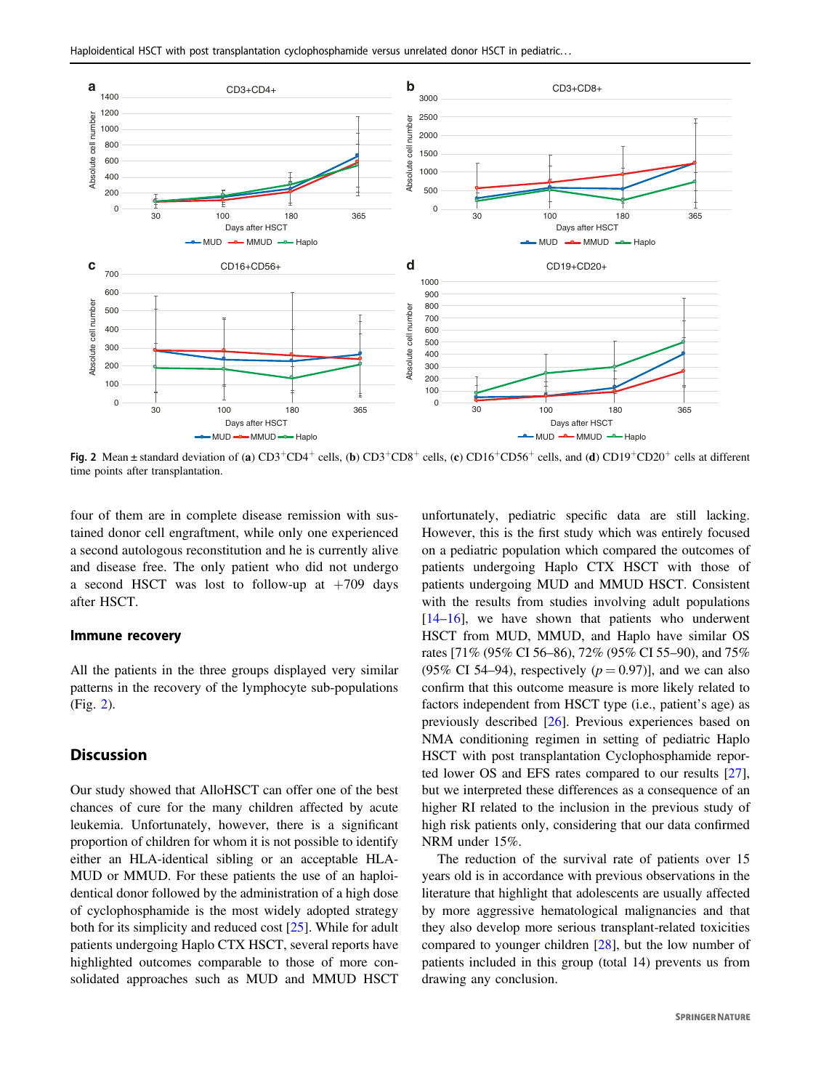

Fig. 2 Mean  $\pm$  standard deviation of (a) CD3<sup>+</sup>CD4<sup>+</sup> cells, (b) CD3<sup>+</sup>CD8<sup>+</sup> cells, (c) CD16<sup>+</sup>CD56<sup>+</sup> cells, and (d) CD19<sup>+</sup>CD20<sup>+</sup> cells at different time points after transplantation.

four of them are in complete disease remission with sustained donor cell engraftment, while only one experienced a second autologous reconstitution and he is currently alive and disease free. The only patient who did not undergo a second HSCT was lost to follow-up at  $+709$  days after HSCT.

## Immune recovery

All the patients in the three groups displayed very similar patterns in the recovery of the lymphocyte sub-populations (Fig. 2).

# **Discussion**

Our study showed that AlloHSCT can offer one of the best chances of cure for the many children affected by acute leukemia. Unfortunately, however, there is a significant proportion of children for whom it is not possible to identify either an HLA-identical sibling or an acceptable HLA-MUD or MMUD. For these patients the use of an haploidentical donor followed by the administration of a high dose of cyclophosphamide is the most widely adopted strategy both for its simplicity and reduced cost [[25\]](#page-8-0). While for adult patients undergoing Haplo CTX HSCT, several reports have highlighted outcomes comparable to those of more consolidated approaches such as MUD and MMUD HSCT unfortunately, pediatric specific data are still lacking. However, this is the first study which was entirely focused on a pediatric population which compared the outcomes of patients undergoing Haplo CTX HSCT with those of patients undergoing MUD and MMUD HSCT. Consistent with the results from studies involving adult populations  $[14–16]$  $[14–16]$  $[14–16]$  $[14–16]$ , we have shown that patients who underwent HSCT from MUD, MMUD, and Haplo have similar OS rates [71% (95% CI 56–86), 72% (95% CI 55–90), and 75% (95% CI 54–94), respectively  $(p = 0.97)$ ], and we can also confirm that this outcome measure is more likely related to factors independent from HSCT type (i.e., patient's age) as previously described [[26\]](#page-9-0). Previous experiences based on NMA conditioning regimen in setting of pediatric Haplo HSCT with post transplantation Cyclophosphamide reported lower OS and EFS rates compared to our results [[27\]](#page-9-0), but we interpreted these differences as a consequence of an higher RI related to the inclusion in the previous study of high risk patients only, considering that our data confirmed NRM under 15%.

The reduction of the survival rate of patients over 15 years old is in accordance with previous observations in the literature that highlight that adolescents are usually affected by more aggressive hematological malignancies and that they also develop more serious transplant-related toxicities compared to younger children [\[28](#page-9-0)], but the low number of patients included in this group (total 14) prevents us from drawing any conclusion.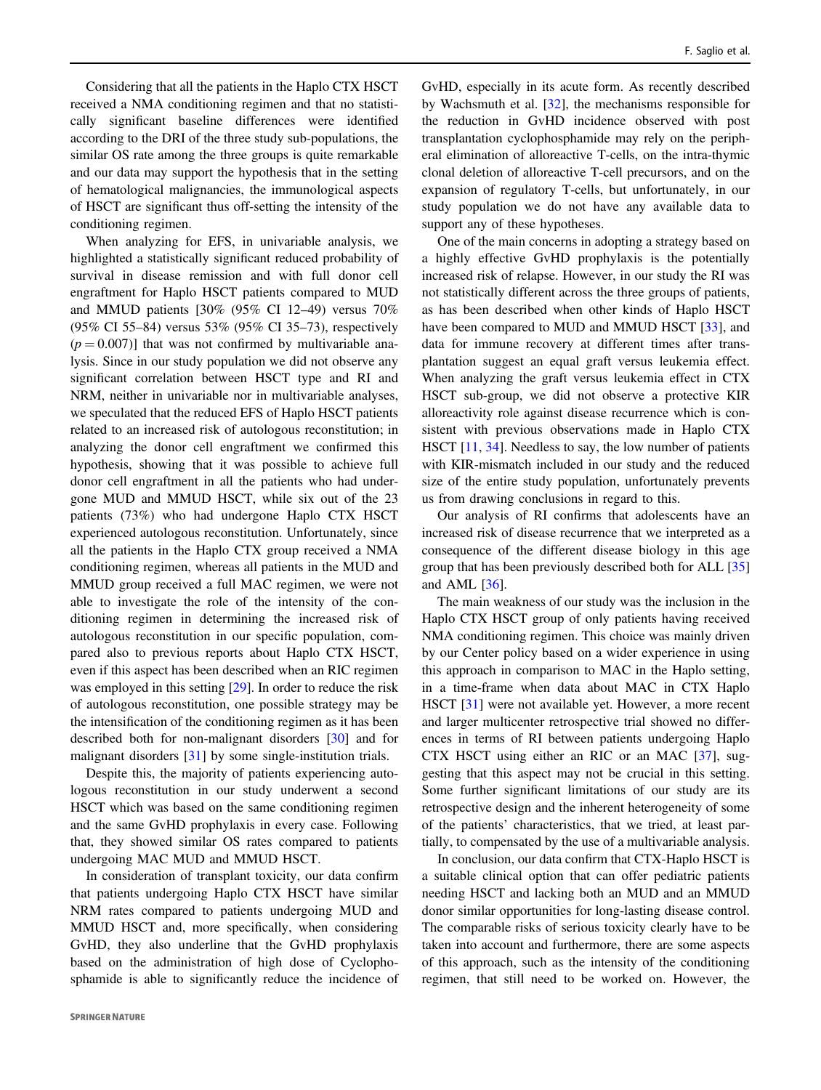F. Saglio et al.

Considering that all the patients in the Haplo CTX HSCT received a NMA conditioning regimen and that no statistically significant baseline differences were identified according to the DRI of the three study sub-populations, the similar OS rate among the three groups is quite remarkable and our data may support the hypothesis that in the setting of hematological malignancies, the immunological aspects of HSCT are significant thus off-setting the intensity of the conditioning regimen.

When analyzing for EFS, in univariable analysis, we highlighted a statistically significant reduced probability of survival in disease remission and with full donor cell engraftment for Haplo HSCT patients compared to MUD and MMUD patients [30% (95% CI 12–49) versus 70% (95% CI 55–84) versus 53% (95% CI 35–73), respectively  $(p = 0.007)$ ] that was not confirmed by multivariable analysis. Since in our study population we did not observe any significant correlation between HSCT type and RI and NRM, neither in univariable nor in multivariable analyses, we speculated that the reduced EFS of Haplo HSCT patients related to an increased risk of autologous reconstitution; in analyzing the donor cell engraftment we confirmed this hypothesis, showing that it was possible to achieve full donor cell engraftment in all the patients who had undergone MUD and MMUD HSCT, while six out of the 23 patients (73%) who had undergone Haplo CTX HSCT experienced autologous reconstitution. Unfortunately, since all the patients in the Haplo CTX group received a NMA conditioning regimen, whereas all patients in the MUD and MMUD group received a full MAC regimen, we were not able to investigate the role of the intensity of the conditioning regimen in determining the increased risk of autologous reconstitution in our specific population, compared also to previous reports about Haplo CTX HSCT, even if this aspect has been described when an RIC regimen was employed in this setting [\[29](#page-9-0)]. In order to reduce the risk of autologous reconstitution, one possible strategy may be the intensification of the conditioning regimen as it has been described both for non-malignant disorders [\[30](#page-9-0)] and for malignant disorders [[31\]](#page-9-0) by some single-institution trials.

Despite this, the majority of patients experiencing autologous reconstitution in our study underwent a second HSCT which was based on the same conditioning regimen and the same GvHD prophylaxis in every case. Following that, they showed similar OS rates compared to patients undergoing MAC MUD and MMUD HSCT.

In consideration of transplant toxicity, our data confirm that patients undergoing Haplo CTX HSCT have similar NRM rates compared to patients undergoing MUD and MMUD HSCT and, more specifically, when considering GvHD, they also underline that the GvHD prophylaxis based on the administration of high dose of Cyclophosphamide is able to significantly reduce the incidence of GvHD, especially in its acute form. As recently described by Wachsmuth et al. [\[32](#page-9-0)], the mechanisms responsible for the reduction in GvHD incidence observed with post transplantation cyclophosphamide may rely on the peripheral elimination of alloreactive T-cells, on the intra-thymic clonal deletion of alloreactive T-cell precursors, and on the expansion of regulatory T-cells, but unfortunately, in our study population we do not have any available data to support any of these hypotheses.

One of the main concerns in adopting a strategy based on a highly effective GvHD prophylaxis is the potentially increased risk of relapse. However, in our study the RI was not statistically different across the three groups of patients, as has been described when other kinds of Haplo HSCT have been compared to MUD and MMUD HSCT [\[33](#page-9-0)], and data for immune recovery at different times after transplantation suggest an equal graft versus leukemia effect. When analyzing the graft versus leukemia effect in CTX HSCT sub-group, we did not observe a protective KIR alloreactivity role against disease recurrence which is consistent with previous observations made in Haplo CTX HSCT [\[11](#page-8-0), [34](#page-9-0)]. Needless to say, the low number of patients with KIR-mismatch included in our study and the reduced size of the entire study population, unfortunately prevents us from drawing conclusions in regard to this.

Our analysis of RI confirms that adolescents have an increased risk of disease recurrence that we interpreted as a consequence of the different disease biology in this age group that has been previously described both for ALL [\[35](#page-9-0)] and AML [\[36](#page-9-0)].

The main weakness of our study was the inclusion in the Haplo CTX HSCT group of only patients having received NMA conditioning regimen. This choice was mainly driven by our Center policy based on a wider experience in using this approach in comparison to MAC in the Haplo setting, in a time-frame when data about MAC in CTX Haplo HSCT [[31\]](#page-9-0) were not available yet. However, a more recent and larger multicenter retrospective trial showed no differences in terms of RI between patients undergoing Haplo CTX HSCT using either an RIC or an MAC [[37\]](#page-9-0), suggesting that this aspect may not be crucial in this setting. Some further significant limitations of our study are its retrospective design and the inherent heterogeneity of some of the patients' characteristics, that we tried, at least partially, to compensated by the use of a multivariable analysis.

In conclusion, our data confirm that CTX-Haplo HSCT is a suitable clinical option that can offer pediatric patients needing HSCT and lacking both an MUD and an MMUD donor similar opportunities for long-lasting disease control. The comparable risks of serious toxicity clearly have to be taken into account and furthermore, there are some aspects of this approach, such as the intensity of the conditioning regimen, that still need to be worked on. However, the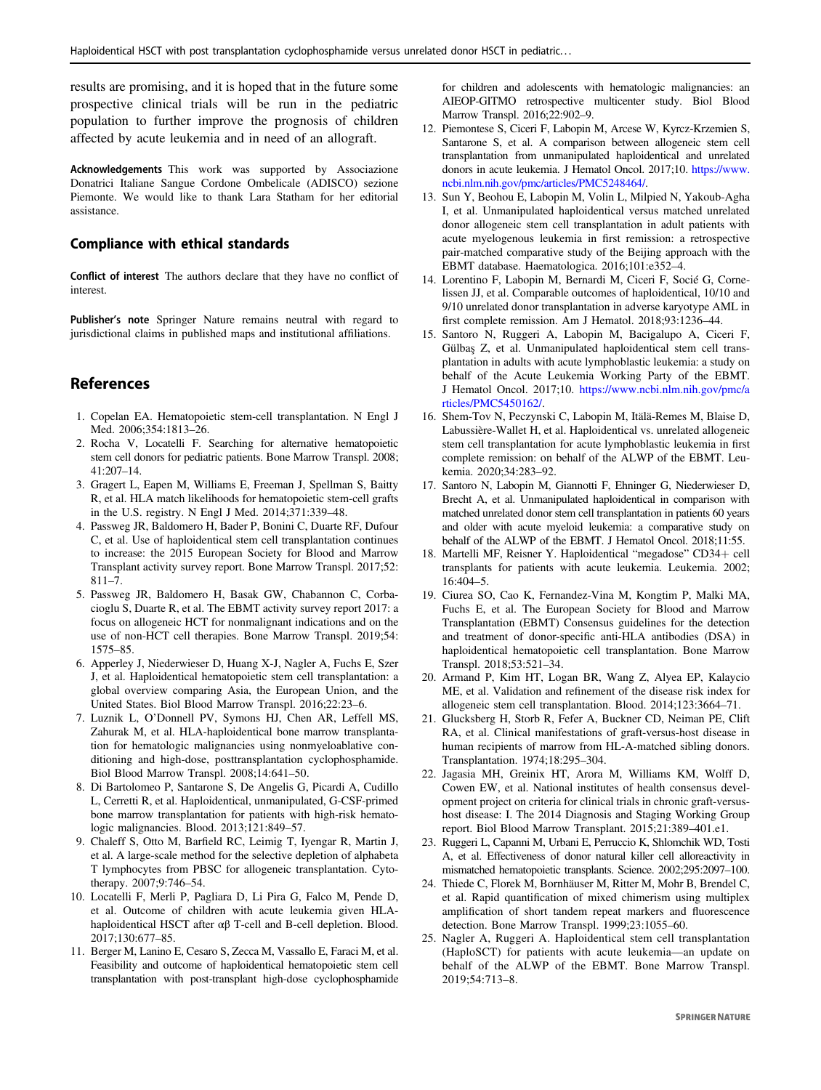<span id="page-8-0"></span>results are promising, and it is hoped that in the future some prospective clinical trials will be run in the pediatric population to further improve the prognosis of children affected by acute leukemia and in need of an allograft.

Acknowledgements This work was supported by Associazione Donatrici Italiane Sangue Cordone Ombelicale (ADISCO) sezione Piemonte. We would like to thank Lara Statham for her editorial assistance.

## Compliance with ethical standards

Conflict of interest The authors declare that they have no conflict of interest.

Publisher's note Springer Nature remains neutral with regard to jurisdictional claims in published maps and institutional affiliations.

# References

- 1. Copelan EA. Hematopoietic stem-cell transplantation. N Engl J Med. 2006;354:1813–26.
- 2. Rocha V, Locatelli F. Searching for alternative hematopoietic stem cell donors for pediatric patients. Bone Marrow Transpl. 2008; 41:207–14.
- 3. Gragert L, Eapen M, Williams E, Freeman J, Spellman S, Baitty R, et al. HLA match likelihoods for hematopoietic stem-cell grafts in the U.S. registry. N Engl J Med. 2014;371:339–48.
- 4. Passweg JR, Baldomero H, Bader P, Bonini C, Duarte RF, Dufour C, et al. Use of haploidentical stem cell transplantation continues to increase: the 2015 European Society for Blood and Marrow Transplant activity survey report. Bone Marrow Transpl. 2017;52: 811–7.
- 5. Passweg JR, Baldomero H, Basak GW, Chabannon C, Corbacioglu S, Duarte R, et al. The EBMT activity survey report 2017: a focus on allogeneic HCT for nonmalignant indications and on the use of non-HCT cell therapies. Bone Marrow Transpl. 2019;54: 1575–85.
- 6. Apperley J, Niederwieser D, Huang X-J, Nagler A, Fuchs E, Szer J, et al. Haploidentical hematopoietic stem cell transplantation: a global overview comparing Asia, the European Union, and the United States. Biol Blood Marrow Transpl. 2016;22:23–6.
- 7. Luznik L, O'Donnell PV, Symons HJ, Chen AR, Leffell MS, Zahurak M, et al. HLA-haploidentical bone marrow transplantation for hematologic malignancies using nonmyeloablative conditioning and high-dose, posttransplantation cyclophosphamide. Biol Blood Marrow Transpl. 2008;14:641–50.
- 8. Di Bartolomeo P, Santarone S, De Angelis G, Picardi A, Cudillo L, Cerretti R, et al. Haploidentical, unmanipulated, G-CSF-primed bone marrow transplantation for patients with high-risk hematologic malignancies. Blood. 2013;121:849–57.
- 9. Chaleff S, Otto M, Barfield RC, Leimig T, Iyengar R, Martin J, et al. A large-scale method for the selective depletion of alphabeta T lymphocytes from PBSC for allogeneic transplantation. Cytotherapy. 2007;9:746–54.
- 10. Locatelli F, Merli P, Pagliara D, Li Pira G, Falco M, Pende D, et al. Outcome of children with acute leukemia given HLAhaploidentical HSCT after αβ T-cell and B-cell depletion. Blood. 2017;130:677–85.
- 11. Berger M, Lanino E, Cesaro S, Zecca M, Vassallo E, Faraci M, et al. Feasibility and outcome of haploidentical hematopoietic stem cell transplantation with post-transplant high-dose cyclophosphamide

for children and adolescents with hematologic malignancies: an AIEOP-GITMO retrospective multicenter study. Biol Blood Marrow Transpl. 2016;22:902–9.

- 12. Piemontese S, Ciceri F, Labopin M, Arcese W, Kyrcz-Krzemien S, Santarone S, et al. A comparison between allogeneic stem cell transplantation from unmanipulated haploidentical and unrelated donors in acute leukemia. J Hematol Oncol. 2017;10. [https://www.](https://www.ncbi.nlm.nih.gov/pmc/articles/PMC5248464/) [ncbi.nlm.nih.gov/pmc/articles/PMC5248464/](https://www.ncbi.nlm.nih.gov/pmc/articles/PMC5248464/).
- 13. Sun Y, Beohou E, Labopin M, Volin L, Milpied N, Yakoub-Agha I, et al. Unmanipulated haploidentical versus matched unrelated donor allogeneic stem cell transplantation in adult patients with acute myelogenous leukemia in first remission: a retrospective pair-matched comparative study of the Beijing approach with the EBMT database. Haematologica. 2016;101:e352–4.
- 14. Lorentino F, Labopin M, Bernardi M, Ciceri F, Socié G, Cornelissen JJ, et al. Comparable outcomes of haploidentical, 10/10 and 9/10 unrelated donor transplantation in adverse karyotype AML in first complete remission. Am J Hematol. 2018;93:1236–44.
- 15. Santoro N, Ruggeri A, Labopin M, Bacigalupo A, Ciceri F, Gülbaş Z, et al. Unmanipulated haploidentical stem cell transplantation in adults with acute lymphoblastic leukemia: a study on behalf of the Acute Leukemia Working Party of the EBMT. J Hematol Oncol. 2017;10. [https://www.ncbi.nlm.nih.gov/pmc/a](https://www.ncbi.nlm.nih.gov/pmc/articles/PMC5450162/) [rticles/PMC5450162/](https://www.ncbi.nlm.nih.gov/pmc/articles/PMC5450162/).
- 16. Shem-Tov N, Peczynski C, Labopin M, Itälä-Remes M, Blaise D, Labussière-Wallet H, et al. Haploidentical vs. unrelated allogeneic stem cell transplantation for acute lymphoblastic leukemia in first complete remission: on behalf of the ALWP of the EBMT. Leukemia. 2020;34:283–92.
- 17. Santoro N, Labopin M, Giannotti F, Ehninger G, Niederwieser D, Brecht A, et al. Unmanipulated haploidentical in comparison with matched unrelated donor stem cell transplantation in patients 60 years and older with acute myeloid leukemia: a comparative study on behalf of the ALWP of the EBMT. J Hematol Oncol. 2018;11:55.
- 18. Martelli MF, Reisner Y. Haploidentical "megadose" CD34+ cell transplants for patients with acute leukemia. Leukemia. 2002; 16:404–5.
- 19. Ciurea SO, Cao K, Fernandez-Vina M, Kongtim P, Malki MA, Fuchs E, et al. The European Society for Blood and Marrow Transplantation (EBMT) Consensus guidelines for the detection and treatment of donor-specific anti-HLA antibodies (DSA) in haploidentical hematopoietic cell transplantation. Bone Marrow Transpl. 2018;53:521–34.
- 20. Armand P, Kim HT, Logan BR, Wang Z, Alyea EP, Kalaycio ME, et al. Validation and refinement of the disease risk index for allogeneic stem cell transplantation. Blood. 2014;123:3664–71.
- 21. Glucksberg H, Storb R, Fefer A, Buckner CD, Neiman PE, Clift RA, et al. Clinical manifestations of graft-versus-host disease in human recipients of marrow from HL-A-matched sibling donors. Transplantation. 1974;18:295–304.
- 22. Jagasia MH, Greinix HT, Arora M, Williams KM, Wolff D, Cowen EW, et al. National institutes of health consensus development project on criteria for clinical trials in chronic graft-versushost disease: I. The 2014 Diagnosis and Staging Working Group report. Biol Blood Marrow Transplant. 2015;21:389–401.e1.
- 23. Ruggeri L, Capanni M, Urbani E, Perruccio K, Shlomchik WD, Tosti A, et al. Effectiveness of donor natural killer cell alloreactivity in mismatched hematopoietic transplants. Science. 2002;295:2097–100.
- 24. Thiede C, Florek M, Bornhäuser M, Ritter M, Mohr B, Brendel C, et al. Rapid quantification of mixed chimerism using multiplex amplification of short tandem repeat markers and fluorescence detection. Bone Marrow Transpl. 1999;23:1055–60.
- 25. Nagler A, Ruggeri A. Haploidentical stem cell transplantation (HaploSCT) for patients with acute leukemia—an update on behalf of the ALWP of the EBMT. Bone Marrow Transpl. 2019;54:713–8.